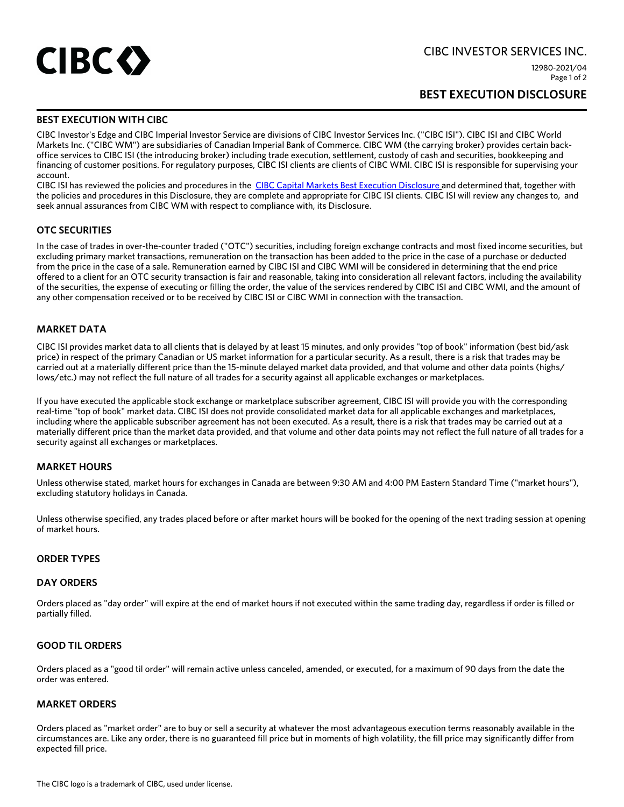

CIBC INVESTOR SERVICES INC.

12980-2021/04 Page 1 of 2

# **BEST EXECUTION DISCLOSURE**

# **BEST EXECUTION WITH CIBC**

CIBC Investor's Edge and CIBC Imperial Investor Service are divisions of CIBC Investor Services Inc. ("CIBC ISI"). CIBC ISI and CIBC World Markets Inc. ("CIBC WM") are subsidiaries of Canadian Imperial Bank of Commerce. CIBC WM (the carrying broker) provides certain backoffice services to CIBC ISI (the introducing broker) including trade execution, settlement, custody of cash and securities, bookkeeping and financing of customer positions. For regulatory purposes, CIBC ISI clients are clients of CIBC WMI. CIBC ISI is responsible for supervising your account.

CIBC ISI has reviewed the policies and procedures in the [CIBC Capital Markets Best Execution Disclosure](https://a.storyblok.com/f/82629/x/c48edbc0e8/cibc-capital-markets-best-execution-disclosure_v4.pdf) and determined that, together with the policies and procedures in this Disclosure, they are complete and appropriate for CIBC ISI clients. CIBC ISI will review any changes to, and seek annual assurances from CIBC WM with respect to compliance with, its Disclosure.

#### **OTC SECURITIES**

In the case of trades in over-the-counter traded ("OTC") securities, including foreign exchange contracts and most fixed income securities, but excluding primary market transactions, remuneration on the transaction has been added to the price in the case of a purchase or deducted from the price in the case of a sale. Remuneration earned by CIBC ISI and CIBC WMI will be considered in determining that the end price offered to a client for an OTC security transaction is fair and reasonable, taking into consideration all relevant factors, including the availability of the securities, the expense of executing or filling the order, the value of the services rendered by CIBC ISI and CIBC WMI, and the amount of any other compensation received or to be received by CIBC ISI or CIBC WMI in connection with the transaction.

#### **MARKET DATA**

CIBC ISI provides market data to all clients that is delayed by at least 15 minutes, and only provides "top of book" information (best bid/ask price) in respect of the primary Canadian or US market information for a particular security. As a result, there is a risk that trades may be carried out at a materially different price than the 15-minute delayed market data provided, and that volume and other data points (highs/ lows/etc.) may not reflect the full nature of all trades for a security against all applicable exchanges or marketplaces.

If you have executed the applicable stock exchange or marketplace subscriber agreement, CIBC ISI will provide you with the corresponding real-time "top of book" market data. CIBC ISI does not provide consolidated market data for all applicable exchanges and marketplaces, including where the applicable subscriber agreement has not been executed. As a result, there is a risk that trades may be carried out at a materially different price than the market data provided, and that volume and other data points may not reflect the full nature of all trades for a security against all exchanges or marketplaces.

#### **MARKET HOURS**

Unless otherwise stated, market hours for exchanges in Canada are between 9:30 AM and 4:00 PM Eastern Standard Time ("market hours"), excluding statutory holidays in Canada.

Unless otherwise specified, any trades placed before or after market hours will be booked for the opening of the next trading session at opening of market hours.

#### **ORDER TYPES**

#### **DAY ORDERS**

Orders placed as "day order" will expire at the end of market hours if not executed within the same trading day, regardless if order is filled or partially filled.

#### **GOOD TIL ORDERS**

Orders placed as a "good til order" will remain active unless canceled, amended, or executed, for a maximum of 90 days from the date the order was entered.

#### **MARKET ORDERS**

Orders placed as "market order" are to buy or sell a security at whatever the most advantageous execution terms reasonably available in the circumstances are. Like any order, there is no guaranteed fill price but in moments of high volatility, the fill price may significantly differ from expected fill price.